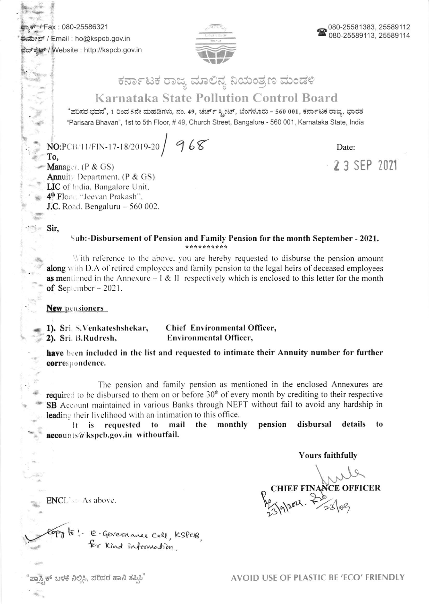Fax: 080-25586321 ಈಮೇಲ್ / Email : ho@kspcb.gov.in ವೆಬ್ಸ್ಟ್ / Website : http://kspcb.gov.in



## ಕರ್ನಾಟಕ ರಾಜ್ಯ ಮಾಲಿನ್ಯ ನಿಯಂತ್ರಣ ಮಂಡಳಿ

## **Karnataka State Pollution Control Board**

"ಪರಿಸರ ಭವನ", 1 ರಿಂದ 5ನೇ ಮಹಡಿಗಳು, ನಂ. 49, ಚರ್ಚ್ ಸ್ಟೀಟ್, ಬೆಂಗಳೂರು - 560 001, ಕರ್ನಾಟಕ ರಾಜ್ಯ, ಭಾರತ "Parisara Bhavan", 1st to 5th Floor, #49, Church Street, Bangalore - 560 001, Karnataka State, India

 $NO:P$ CB/11/FIN-17-18/2019-20  $968$ 

Date:

2 3 SEP 2021

To, Manager.  $(P & GS)$ **Annuity Department.** (P & GS) LIC of India, Bangalore Unit, 4<sup>th</sup> Floor. "Jeevan Prakash", **J.C.** Road. Bengaluru - 560 002.

Sir,

Sub:-Disbursement of Pension and Family Pension for the month September - 2021. \*\*\*\*\*\*\*\*\*\*

With reference to the above, you are hereby requested to disburse the pension amount **along** with D.A of retired employees and family pension to the legal heirs of deceased employees **as me**ntioned in the Annexure  $-1 \& 11$  respectively which is enclosed to this letter for the month of September  $-2021$ .

**New pensioners** 

1). Sri. S. Venkateshshekar, Chief Environmental Officer, 2). Sri. B.Rudresh, **Environmental Officer,** 

have been included in the list and requested to intimate their Annuity number for further correspondence.

The pension and family pension as mentioned in the enclosed Annexures are required to be disbursed to them on or before 30<sup>th</sup> of every month by crediting to their respective SB Account maintained in various Banks through NEFT without fail to avoid any hardship in leading their livelihood with an intimation to this office.

mail the monthly pension disbursal details to  $\mathbf{t}$ is requested to accounts a kspeb.gov.in withoutfail.

**Yours faithfully** 

CHIEF FINANCE OFFICER

**ENCL's:- As above.** 

copy to: E-Gevernance cell, KSPCB,

ಸ್ತ್ರಿಕ್ ಬಳಕೆ ನಿಲ್ಲಿಸಿ, ಪರಿಸರ ಹಾನಿ ತಪ್ಪಿಸಿ'